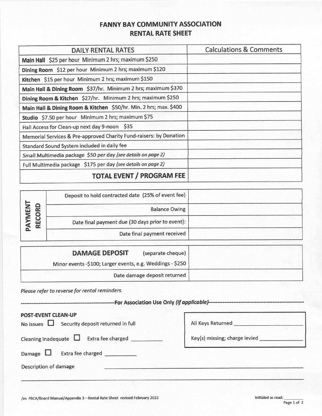# **FANNY BAY COMMUNITY ASSOCIATION RENTAL RATE SHEET**

| DAILY RENTAL RATES                                                 | <b>Calculations &amp; Comments</b> |
|--------------------------------------------------------------------|------------------------------------|
| Main Hall \$25 per hour Minimum 2 hrs; maximum \$250               |                                    |
| Dining Room \$12 per hour Minimum 2 hrs; maximum \$120             |                                    |
| Kitchen \$15 per hour Minimum 2 hrs; maximum \$150                 |                                    |
| Main Hall & Dining Room \$37/hr. Minimum 2 hrs; maximum \$370      |                                    |
| Dining Room & Kitchen \$27/hr. Minimum 2 hrs; maximum \$250        |                                    |
| Main Hall & Dining Room & Kitchen \$50/hr. Min. 2 hrs; max. \$400  |                                    |
| Studio \$7.50 per hour Minimum 2 hrs; maximum \$75                 |                                    |
| Hall Access for Clean-up next day 9-noon \$35                      |                                    |
| Memorial Services & Pre-approved Charity Fund-raisers: by Donation |                                    |
| Standard Sound System included in daily fee                        |                                    |
| Small Multimedia package \$50 per day (see details on page 2)      |                                    |
| Full Multimedia package \$175 per day (see details on page 2)      |                                    |
| <b>TOTAL EVENT / PROGRAM FEE</b>                                   |                                    |

| -5<br><b>NEM</b> | Deposit to hold contracted date (25% of event fee) |  |
|------------------|----------------------------------------------------|--|
|                  | <b>Balance Owing</b>                               |  |
| REC              | Date final payment due (30 days prior to event):   |  |
|                  | Date final payment received                        |  |

| <b>DAMAGE DEPOSIT</b><br>(separate cheque)                |
|-----------------------------------------------------------|
| Minor events -\$100; Larger events, e.g. Weddings - \$250 |
| Date damage deposit returned                              |

Please refer to reverse for rental reminders.

-----------For Association Use Only (if applicable)-----------

| <b>POST-EVENT CLEAN-UP</b><br>No issues $\Box$ Security deposit returned in full | All Keys Returned             |
|----------------------------------------------------------------------------------|-------------------------------|
| Extra fee charged<br>Cleaning inadequate $\Box$                                  | Key(s) missing; charge levied |
| Extra fee charged<br>Damage $\Box$                                               |                               |
| Description of damage                                                            |                               |
|                                                                                  |                               |